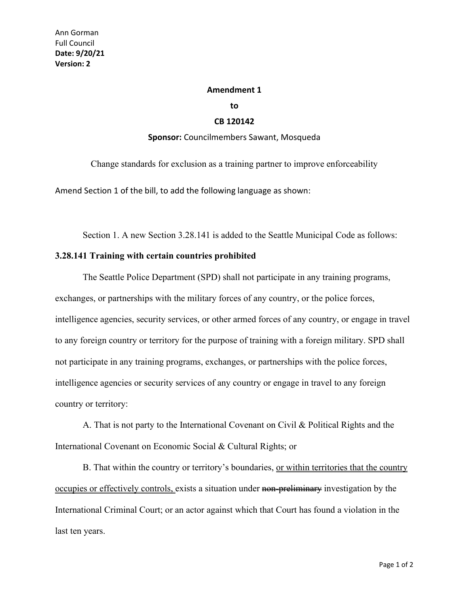## **Amendment 1**

**to**

## **CB 120142**

## **Sponsor:** Councilmembers Sawant, Mosqueda

Change standards for exclusion as a training partner to improve enforceability

Amend Section 1 of the bill, to add the following language as shown:

Section 1. A new Section 3.28.141 is added to the Seattle Municipal Code as follows:

## **3.28.141 Training with certain countries prohibited**

The Seattle Police Department (SPD) shall not participate in any training programs, exchanges, or partnerships with the military forces of any country, or the police forces, intelligence agencies, security services, or other armed forces of any country, or engage in travel to any foreign country or territory for the purpose of training with a foreign military. SPD shall not participate in any training programs, exchanges, or partnerships with the police forces, intelligence agencies or security services of any country or engage in travel to any foreign country or territory:

A. That is not party to the International Covenant on Civil & Political Rights and the International Covenant on Economic Social & Cultural Rights; or

B. That within the country or territory's boundaries, or within territories that the country occupies or effectively controls, exists a situation under non-preliminary investigation by the International Criminal Court; or an actor against which that Court has found a violation in the last ten years.